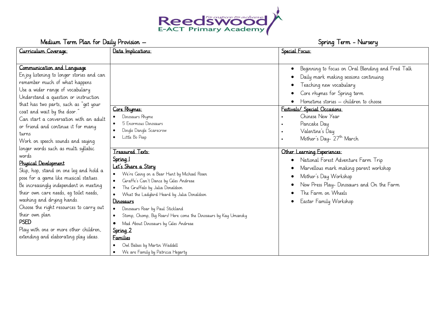

| Curriculum Coverage:                       | Data Implications:                                                           | Special Focus:                                    |
|--------------------------------------------|------------------------------------------------------------------------------|---------------------------------------------------|
|                                            |                                                                              |                                                   |
| Communication and Language                 |                                                                              | Beginning to focus on Oral Blending and Fred Talk |
| En joy listening to longer stories and can |                                                                              | Daily mark making sessions continuing             |
| remember much of what happens              |                                                                              | Teaching new vocabulary                           |
| Use a wider range of vocabulary            |                                                                              |                                                   |
| Understand a question or instruction       |                                                                              | Core rhymes for Spring term                       |
| that has two parts, such as "get your      |                                                                              | Hometime stories - children to choose             |
| coat and wait by the door."                | Core Rhymes:                                                                 | Festivals/ Special Occasions:                     |
| Can start a conversation with an adult     | Dinosaurs Rhyme                                                              | Chinese New Year                                  |
| or friend and continue it for many         | 5 Enormous Dinosaurs                                                         | Pancake Day                                       |
| turns                                      | Dingle Dangle Scarecrow                                                      | Valentine's Day                                   |
| Work on speech sounds and saying           | Little Bo Peep<br>$\bullet$                                                  | Mother's Day- 27 <sup>th</sup> March              |
| longer words such as multi syllabic        | Treasured Texts:                                                             |                                                   |
| words                                      |                                                                              | Other Learning Experiences:                       |
| Physical Development                       | Spring 1                                                                     | National Forest Adventure Farm Trip               |
| Skip, hop, stand on one leg and hold a     | Let's Share a Story                                                          | Marvellous mark making parent workshop            |
| pose for a game like musical statues.      | We're Going on a Bear Hunt by Michael Rosen                                  | Mother's Day Workshop                             |
| Be increasingly independent in meeting     | Giraffe's Can't Dance by Giles Andreae<br>The Cruffalo by Julia Donaldson    | Now Press Play- Dinosaurs and On the Farm         |
| their own care needs, eq toilet needs,     | What the Ladybird Heard by Julia Donaldson                                   | The Farm on Wheels                                |
| washing and drying hands.                  | Dinosaurs                                                                    | Easter Family Workshop                            |
| Choose the right resources to carry out    | Dinosaurs Roar by Paul Stickland                                             |                                                   |
| their own plan                             | Stomp, Chomp, Big Roars! Here come the Dinosaurs by Kay Umansky<br>$\bullet$ |                                                   |
| <b>PSED</b>                                | Mad About Dinosaurs by Ciles Andreae                                         |                                                   |
| Play with one or more other children,      | Spring 2                                                                     |                                                   |
| extending and elaborating play ideas.      | <b>Families</b>                                                              |                                                   |
|                                            | Owl Babies by Martin Waddell                                                 |                                                   |
|                                            | We are Family by Patricia Hegarty<br>$\bullet$                               |                                                   |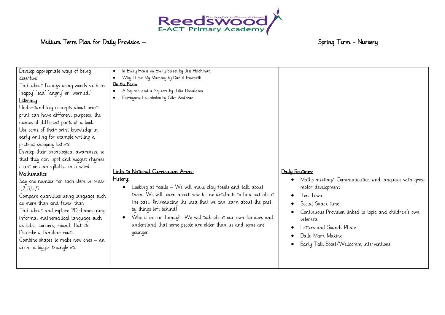

| Develop appropriate ways of being<br>assertive<br>Talk about feelings using words such as<br>'happy' 'sad' 'angry' or 'worried.'<br>Literacy<br>Understand key concepts about print:<br>print can have different purposes, the<br>names of different parts of a book<br>Use some of their print knowledge in<br>early writing for example writing a<br>pretend shopping list etc<br>Develop their phonological awareness, so<br>that they can: spot and suggest rhymes,<br>count or clap syllables in a word.<br><b>Mathematics</b><br>Say one number for each item in order<br>1,2,3,4,5<br>Compare quantities using language such<br>as more than and fewer than<br>Talk about and explore 2D shapes using<br>informal mathematical language such<br>as sides, corners, round, flat etc<br>Describe a familiar route<br>Combine shapes to make new ones $-$ an<br>arch, a bigger triangle etc | In Every House on Every Street by Jess Hitchman<br>$\bullet$<br>Why I Love My Mummy by Daniel Howarth<br>$\bullet$<br>On the Farm<br>A Squash and a Squeeze by Julia Donaldson<br>$\bullet$<br>Farmyard Hullabaloo by Giles Andreae<br>Links to National Curriculum Areas:<br>History:<br>Looking at fossils – We will make clay fossils and talk about<br>$\bullet$<br>them. We will learn about how to use artefacts to find out about<br>the past. (Introducing the idea that we can learn about the past<br>by things left behind)<br>Who is in our family?- We will talk about our own families and<br>$\bullet$<br>understand that some people are older than us and some are<br>younger. | Daily Routines:<br>Maths meeting/ Communication and language with gross<br>motor development<br>Ten Town<br>Social Snack time.<br>Continuous Provision linked to topic and children's own<br>interests<br>Letters and Sounds Phase 1<br>Daily Mark Making<br>Early Talk Boost/Wellcomm interventions |
|-------------------------------------------------------------------------------------------------------------------------------------------------------------------------------------------------------------------------------------------------------------------------------------------------------------------------------------------------------------------------------------------------------------------------------------------------------------------------------------------------------------------------------------------------------------------------------------------------------------------------------------------------------------------------------------------------------------------------------------------------------------------------------------------------------------------------------------------------------------------------------------------------|-------------------------------------------------------------------------------------------------------------------------------------------------------------------------------------------------------------------------------------------------------------------------------------------------------------------------------------------------------------------------------------------------------------------------------------------------------------------------------------------------------------------------------------------------------------------------------------------------------------------------------------------------------------------------------------------------|------------------------------------------------------------------------------------------------------------------------------------------------------------------------------------------------------------------------------------------------------------------------------------------------------|
|-------------------------------------------------------------------------------------------------------------------------------------------------------------------------------------------------------------------------------------------------------------------------------------------------------------------------------------------------------------------------------------------------------------------------------------------------------------------------------------------------------------------------------------------------------------------------------------------------------------------------------------------------------------------------------------------------------------------------------------------------------------------------------------------------------------------------------------------------------------------------------------------------|-------------------------------------------------------------------------------------------------------------------------------------------------------------------------------------------------------------------------------------------------------------------------------------------------------------------------------------------------------------------------------------------------------------------------------------------------------------------------------------------------------------------------------------------------------------------------------------------------------------------------------------------------------------------------------------------------|------------------------------------------------------------------------------------------------------------------------------------------------------------------------------------------------------------------------------------------------------------------------------------------------------|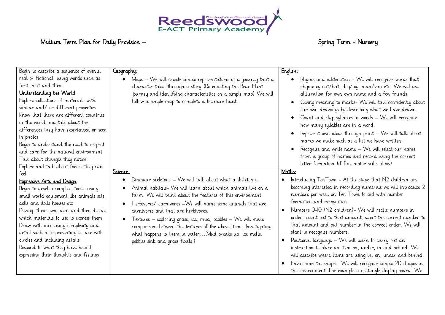

| Begin to describe a sequence of events,                                                                                                                                                                                                                                                                                                                                                                                                                                            | Geography:                                                                                                                                                                                                                                                                                                                                                                                                                                                                                                                           | English:                                                                                                                                                                                                                                                                                                                                                                                                                                                                                                                                                                                                                                                                                                                                          |
|------------------------------------------------------------------------------------------------------------------------------------------------------------------------------------------------------------------------------------------------------------------------------------------------------------------------------------------------------------------------------------------------------------------------------------------------------------------------------------|--------------------------------------------------------------------------------------------------------------------------------------------------------------------------------------------------------------------------------------------------------------------------------------------------------------------------------------------------------------------------------------------------------------------------------------------------------------------------------------------------------------------------------------|---------------------------------------------------------------------------------------------------------------------------------------------------------------------------------------------------------------------------------------------------------------------------------------------------------------------------------------------------------------------------------------------------------------------------------------------------------------------------------------------------------------------------------------------------------------------------------------------------------------------------------------------------------------------------------------------------------------------------------------------------|
| real or fictional, using words such as<br>first, next and then.<br>Understanding the World<br>Explore collections of materials with<br>similar and/ or different properties<br>Know that there are different countries<br>in the world and talk about the<br>differences they have experienced or seen<br>in photos<br>Begin to understand the need to respect<br>and care for the natural environment<br>Talk about changes they notice<br>Explore and talk about forces they can | Maps - We will create simple representations of a journey that a<br>$\bullet$<br>character takes through a story (Re-enacting the Bear Hunt<br>journey and identifying characteristics on a simple map) We will<br>follow a simple map to complete a treasure hunt.                                                                                                                                                                                                                                                                  | Rhyme and alliteration - We will recognise words that<br>rhyme eg cat/hat, dog/log, man/van etc. We will use<br>alliteration for own own name and a few friends.<br>Giving meaning to marks- We will talk confidently about<br>our own drawings by describing what we have drawn.<br>Count and clap syllables in words - We will recognise<br>how many syllables are in a word.<br>Represent own ideas through print - We will talk about<br>marks we make such as a list we have written.<br>Recognise and write name - We will select our name<br>from a group of names and record using the correct<br>letter formation (if fine motor skills allow)                                                                                           |
| feel                                                                                                                                                                                                                                                                                                                                                                                                                                                                               | Science:                                                                                                                                                                                                                                                                                                                                                                                                                                                                                                                             | Maths:                                                                                                                                                                                                                                                                                                                                                                                                                                                                                                                                                                                                                                                                                                                                            |
| Expressive Arts and Design<br>Begin to develop complex stories using<br>small world equipment like animals sets,<br>dolls and dolls houses etc<br>Develop their own ideas and then decide<br>which materials to use to express them<br>Draw with increasing complexity and<br>detail such as representing a face with<br>circles and including details<br>Respond to what they have heard,<br>expressing their thoughts and feelings                                               | Dinosaur skeletons - We will talk about what a skeleton is.<br>Animal habitats- We will learn about which animals live on a<br>farm. We will think about the features of this environment.<br>Herbivores/ carnivores –We will name some animals that are<br>carnivores and that are herbivores.<br>Textures – exploring grass, ice, mud, pebbles – We will make<br>comparisons between the textures of the above items. Investigating<br>what happens to them in water (Mud breaks up, ice melts,<br>pebbles sink and grass floats.) | Introducing TenTown - At the stage that N2 children are<br>becoming interested in recording numerals we will introduce 2<br>numbers per week on Ten Town to aid with number<br>formation and recognition.<br>Numbers 0-10 (N2 children) - We will recite numbers in<br>order, count out to that amount, select the correct number to<br>that amount and put number in the correct order. We will<br>start to recognise numbers.<br>Positional language – We will learn to carry out an<br>instruction to place an item on, under, in and behind. We<br>will describe where items are using in, on, under and behind.<br>Environmental shapes- We will recognise simple 2D shapes in<br>the environment. For example a rectangle display board. We |